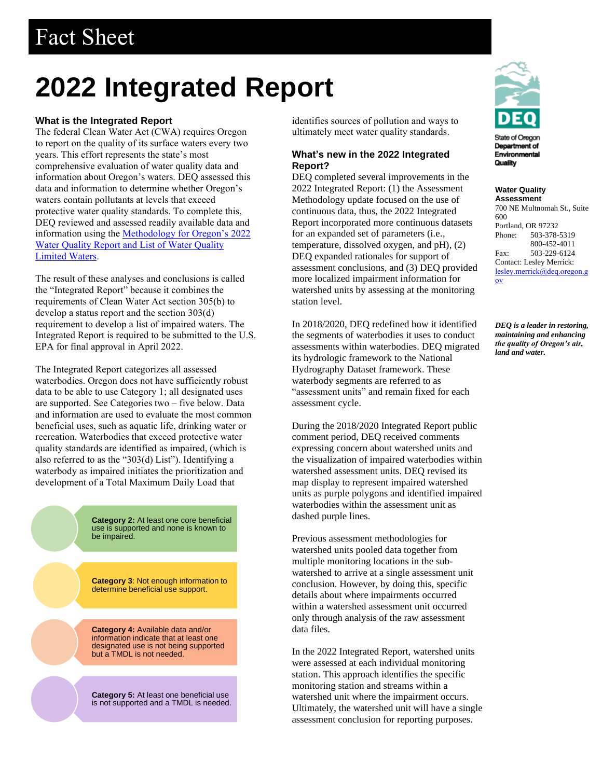# Fact Sheet

# **2022 Integrated Report**

## **What is the Integrated Report**

The federal Clean Water Act (CWA) requires Oregon to report on the quality of its surface waters every two years. This effort represents the state's most comprehensive evaluation of water quality data and information about Oregon's waters. DEQ assessed this data and information to determine whether Oregon's waters contain pollutants at levels that exceed protective water quality standards. To complete this, DEQ reviewed and assessed readily available data and information using the [Methodology for Oregon's](https://www.oregon.gov/deq/wq/Documents/IR22AssessMethod.pdf) 2022 [Water Quality Report and List of Water Quality](https://www.oregon.gov/deq/wq/Documents/IR22AssessMethod.pdf)  [Limited Waters.](https://www.oregon.gov/deq/wq/Documents/IR22AssessMethod.pdf) 

The result of these analyses and conclusions is called the "Integrated Report" because it combines the requirements of Clean Water Act section 305(b) to develop a status report and the section 303(d) requirement to develop a list of impaired waters. The Integrated Report is required to be submitted to the U.S. EPA for final approval in April 2022.

The Integrated Report categorizes all assessed waterbodies. Oregon does not have sufficiently robust data to be able to use Category 1; all designated uses are supported. See Categories two – five below. Data and information are used to evaluate the most common beneficial uses, such as aquatic life, drinking water or recreation. Waterbodies that exceed protective water quality standards are identified as impaired, (which is also referred to as the "303(d) List"). Identifying a waterbody as impaired initiates the prioritization and development of a Total Maximum Daily Load that

> **Category 2:** At least one core beneficial use is supported and none is known to be impaired.

**Category 3**: Not enough information to determine beneficial use support.

**Category 4:** Available data and/or information indicate that at least one designated use is not being supported but a TMDL is not needed.

**Category 5:** At least one beneficial use is not supported and a TMDL is needed. identifies sources of pollution and ways to ultimately meet water quality standards.

# **What's new in the 2022 Integrated Report?**

DEQ completed several improvements in the 2022 Integrated Report: (1) the Assessment Methodology update focused on the use of continuous data, thus, the 2022 Integrated Report incorporated more continuous datasets for an expanded set of parameters (i.e., temperature, dissolved oxygen, and pH), (2) DEQ expanded rationales for support of assessment conclusions, and (3) DEQ provided more localized impairment information for watershed units by assessing at the monitoring station level.

In 2018/2020, DEQ redefined how it identified the segments of waterbodies it uses to conduct assessments within waterbodies. DEQ migrated its hydrologic framework to the National Hydrography Dataset framework. These waterbody segments are referred to as "assessment units" and remain fixed for each assessment cycle.

During the 2018/2020 Integrated Report public comment period, DEQ received comments expressing concern about watershed units and the visualization of impaired waterbodies within watershed assessment units. DEQ revised its map display to represent impaired watershed units as purple polygons and identified impaired waterbodies within the assessment unit as dashed purple lines.

Previous assessment methodologies for watershed units pooled data together from multiple monitoring locations in the subwatershed to arrive at a single assessment unit conclusion. However, by doing this, specific details about where impairments occurred within a watershed assessment unit occurred only through analysis of the raw assessment data files.

In the 2022 Integrated Report, watershed units were assessed at each individual monitoring station. This approach identifies the specific monitoring station and streams within a watershed unit where the impairment occurs. Ultimately, the watershed unit will have a single assessment conclusion for reporting purposes.



Department of Environmental Quality

**Water Quality Assessment**

700 NE Multnomah St., Suite 600 Portland, OR 97232 Phone: 503-378-5319 800-452-4011 Fax: 503-229-6124 Contact: Lesley Merrick: [lesley.merrick@deq.oregon.g](lesley.merrick@deq.oregon.gov) [ov](lesley.merrick@deq.oregon.gov)

*DEQ is a leader in restoring, maintaining and enhancing the quality of Oregon's air, land and water.*